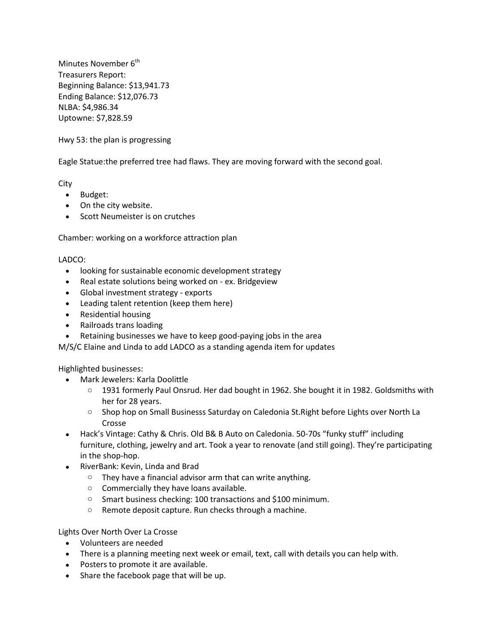Minutes November  $6<sup>th</sup>$ Treasurers Report: Beginning Balance: \$13,941.73 Ending Balance: \$12,076.73 NLBA: \$4,986.34 Uptowne: \$7,828.59

Hwy 53: the plan is progressing

Eagle Statue:the preferred tree had flaws. They are moving forward with the second goal.

City

- Budget:
- On the city website.
- Scott Neumeister is on crutches

Chamber: working on a workforce attraction plan

## LADCO:

- looking for sustainable economic development strategy
- Real estate solutions being worked on ex. Bridgeview
- Global investment strategy exports
- Leading talent retention (keep them here)
- Residential housing
- Railroads trans loading
- Retaining businesses we have to keep good-paying jobs in the area

M/S/C Elaine and Linda to add LADCO as a standing agenda item for updates

## Highlighted businesses:

- Mark Jewelers: Karla Doolittle
	- o 1931 formerly Paul Onsrud. Her dad bought in 1962. She bought it in 1982. Goldsmiths with her for 28 years.
	- o Shop hop on Small Businesss Saturday on Caledonia St.Right before Lights over North La Crosse
- Hack's Vintage: Cathy & Chris. Old B& B Auto on Caledonia. 50-70s "funky stuff" including furniture, clothing, jewelry and art. Took a year to renovate (and still going). They're participating in the shop-hop.
- RiverBank: Kevin, Linda and Brad
	- o They have a financial advisor arm that can write anything.
	- o Commercially they have loans available.
	- o Smart business checking: 100 transactions and \$100 minimum.
	- o Remote deposit capture. Run checks through a machine.

## Lights Over North Over La Crosse

- Volunteers are needed
- There is a planning meeting next week or email, text, call with details you can help with.
- Posters to promote it are available.
- Share the facebook page that will be up.